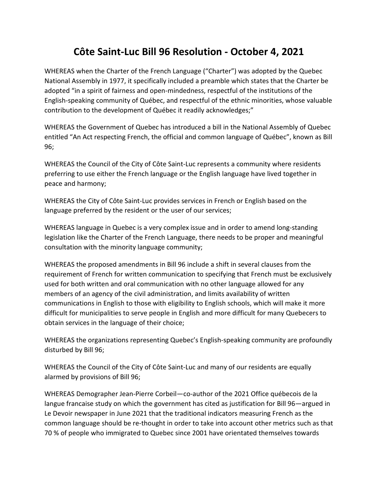## **Côte Saint-Luc Bill 96 Resolution - October 4, 2021**

WHEREAS when the Charter of the French Language ("Charter") was adopted by the Quebec National Assembly in 1977, it specifically included a preamble which states that the Charter be adopted "in a spirit of fairness and open-mindedness, respectful of the institutions of the English-speaking community of Québec, and respectful of the ethnic minorities, whose valuable contribution to the development of Québec it readily acknowledges;"

WHEREAS the Government of Quebec has introduced a bill in the National Assembly of Quebec entitled "An Act respecting French, the official and common language of Québec", known as Bill 96;

WHEREAS the Council of the City of Côte Saint-Luc represents a community where residents preferring to use either the French language or the English language have lived together in peace and harmony;

WHEREAS the City of Côte Saint-Luc provides services in French or English based on the language preferred by the resident or the user of our services;

WHEREAS language in Quebec is a very complex issue and in order to amend long-standing legislation like the Charter of the French Language, there needs to be proper and meaningful consultation with the minority language community;

WHEREAS the proposed amendments in Bill 96 include a shift in several clauses from the requirement of French for written communication to specifying that French must be exclusively used for both written and oral communication with no other language allowed for any members of an agency of the civil administration, and limits availability of written communications in English to those with eligibility to English schools, which will make it more difficult for municipalities to serve people in English and more difficult for many Quebecers to obtain services in the language of their choice;

WHEREAS the organizations representing Quebec's English-speaking community are profoundly disturbed by Bill 96;

WHEREAS the Council of the City of Côte Saint-Luc and many of our residents are equally alarmed by provisions of Bill 96;

WHEREAS Demographer Jean-Pierre Corbeil—co-author of the 2021 Office québecois de la langue francaise study on which the government has cited as justification for Bill 96—argued in Le Devoir newspaper in June 2021 that the traditional indicators measuring French as the common language should be re-thought in order to take into account other metrics such as that 70 % of people who immigrated to Quebec since 2001 have orientated themselves towards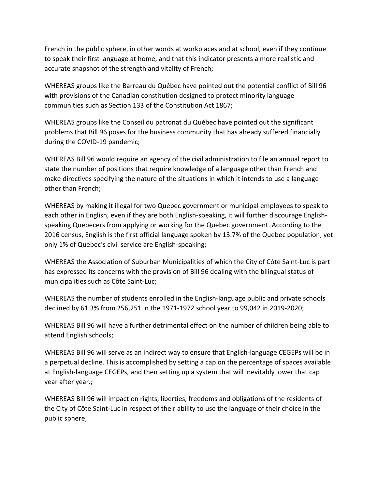French in the public sphere, in other words at workplaces and at school, even if they continue to speak their first language at home, and that this indicator presents a more realistic and accurate snapshot of the strength and vitality of French;

WHEREAS groups like the Barreau du Québec have pointed out the potential conflict of Bill 96 with provisions of the Canadian constitution designed to protect minority language communities such as Section 133 of the Constitution Act 1867;

WHEREAS groups like the Conseil du patronat du Québec have pointed out the significant problems that Bill 96 poses for the business community that has already suffered financially during the COVID-19 pandemic;

WHEREAS Bill 96 would require an agency of the civil administration to file an annual report to state the number of positions that require knowledge of a language other than French and make directives specifying the nature of the situations in which it intends to use a language other than French;

WHEREAS by making it illegal for two Quebec government or municipal employees to speak to each other in English, even if they are both English-speaking, it will further discourage Englishspeaking Quebecers from applying or working for the Quebec government. According to the 2016 census, English is the first official language spoken by 13.7% of the Quebec population, yet only 1% of Quebec's civil service are English-speaking;

WHEREAS the Association of Suburban Municipalities of which the City of Côte Saint-Luc is part has expressed its concerns with the provision of Bill 96 dealing with the bilingual status of municipalities such as Côte Saint-Luc;

WHEREAS the number of students enrolled in the English-language public and private schools declined by 61.3% from 256,251 in the 1971-1972 school year to 99,042 in 2019-2020;

WHEREAS Bill 96 will have a further detrimental effect on the number of children being able to attend English schools;

WHEREAS Bill 96 will serve as an indirect way to ensure that English-language CEGEPs will be in a perpetual decline. This is accomplished by setting a cap on the percentage of spaces available at English-language CEGEPs, and then setting up a system that will inevitably lower that cap year after year.;

WHEREAS Bill 96 will impact on rights, liberties, freedoms and obligations of the residents of the City of Côte Saint-Luc in respect of their ability to use the language of their choice in the public sphere;